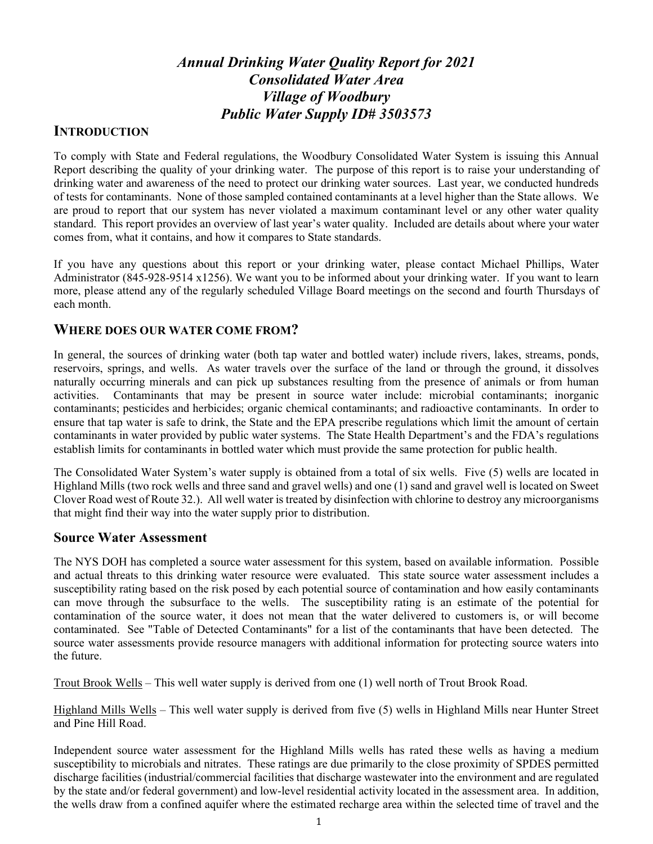# *Annual Drinking Water Quality Report for 2021 Consolidated Water Area Village of Woodbury Public Water Supply ID# 3503573*

## **INTRODUCTION**

To comply with State and Federal regulations, the Woodbury Consolidated Water System is issuing this Annual Report describing the quality of your drinking water. The purpose of this report is to raise your understanding of drinking water and awareness of the need to protect our drinking water sources. Last year, we conducted hundreds of tests for contaminants. None of those sampled contained contaminants at a level higher than the State allows. We are proud to report that our system has never violated a maximum contaminant level or any other water quality standard. This report provides an overview of last year's water quality. Included are details about where your water comes from, what it contains, and how it compares to State standards.

If you have any questions about this report or your drinking water, please contact Michael Phillips, Water Administrator (845-928-9514 x1256). We want you to be informed about your drinking water. If you want to learn more, please attend any of the regularly scheduled Village Board meetings on the second and fourth Thursdays of each month.

### **WHERE DOES OUR WATER COME FROM?**

In general, the sources of drinking water (both tap water and bottled water) include rivers, lakes, streams, ponds, reservoirs, springs, and wells. As water travels over the surface of the land or through the ground, it dissolves naturally occurring minerals and can pick up substances resulting from the presence of animals or from human activities. Contaminants that may be present in source water include: microbial contaminants; inorganic contaminants; pesticides and herbicides; organic chemical contaminants; and radioactive contaminants. In order to ensure that tap water is safe to drink, the State and the EPA prescribe regulations which limit the amount of certain contaminants in water provided by public water systems. The State Health Department's and the FDA's regulations establish limits for contaminants in bottled water which must provide the same protection for public health.

The Consolidated Water System's water supply is obtained from a total of six wells. Five (5) wells are located in Highland Mills (two rock wells and three sand and gravel wells) and one (1) sand and gravel well is located on Sweet Clover Road west of Route 32.). All well water is treated by disinfection with chlorine to destroy any microorganisms that might find their way into the water supply prior to distribution.

### **Source Water Assessment**

The NYS DOH has completed a source water assessment for this system, based on available information. Possible and actual threats to this drinking water resource were evaluated. This state source water assessment includes a susceptibility rating based on the risk posed by each potential source of contamination and how easily contaminants can move through the subsurface to the wells. The susceptibility rating is an estimate of the potential for contamination of the source water, it does not mean that the water delivered to customers is, or will become contaminated. See "Table of Detected Contaminants" for a list of the contaminants that have been detected. The source water assessments provide resource managers with additional information for protecting source waters into the future.

Trout Brook Wells – This well water supply is derived from one (1) well north of Trout Brook Road.

Highland Mills Wells – This well water supply is derived from five (5) wells in Highland Mills near Hunter Street and Pine Hill Road.

Independent source water assessment for the Highland Mills wells has rated these wells as having a medium susceptibility to microbials and nitrates. These ratings are due primarily to the close proximity of SPDES permitted discharge facilities (industrial/commercial facilities that discharge wastewater into the environment and are regulated by the state and/or federal government) and low-level residential activity located in the assessment area. In addition, the wells draw from a confined aquifer where the estimated recharge area within the selected time of travel and the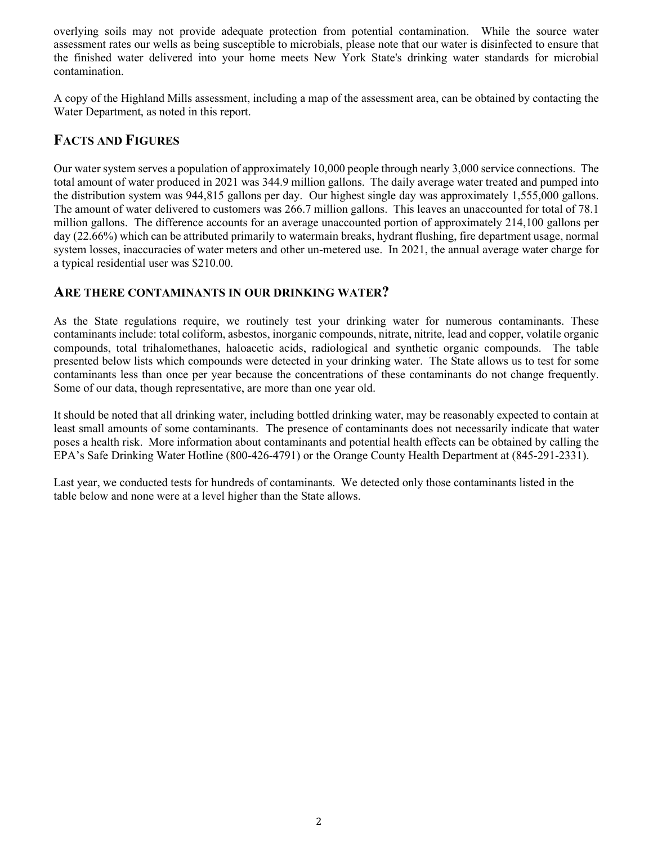overlying soils may not provide adequate protection from potential contamination. While the source water assessment rates our wells as being susceptible to microbials, please note that our water is disinfected to ensure that the finished water delivered into your home meets New York State's drinking water standards for microbial contamination.

A copy of the Highland Mills assessment, including a map of the assessment area, can be obtained by contacting the Water Department, as noted in this report.

## **FACTS AND FIGURES**

Our water system serves a population of approximately 10,000 people through nearly 3,000 service connections. The total amount of water produced in 2021 was 344.9 million gallons. The daily average water treated and pumped into the distribution system was 944,815 gallons per day. Our highest single day was approximately 1,555,000 gallons. The amount of water delivered to customers was 266.7 million gallons. This leaves an unaccounted for total of 78.1 million gallons. The difference accounts for an average unaccounted portion of approximately 214,100 gallons per day (22.66%) which can be attributed primarily to watermain breaks, hydrant flushing, fire department usage, normal system losses, inaccuracies of water meters and other un-metered use. In 2021, the annual average water charge for a typical residential user was \$210.00.

## **ARE THERE CONTAMINANTS IN OUR DRINKING WATER?**

As the State regulations require, we routinely test your drinking water for numerous contaminants. These contaminants include: total coliform, asbestos, inorganic compounds, nitrate, nitrite, lead and copper, volatile organic compounds, total trihalomethanes, haloacetic acids, radiological and synthetic organic compounds. The table presented below lists which compounds were detected in your drinking water. The State allows us to test for some contaminants less than once per year because the concentrations of these contaminants do not change frequently. Some of our data, though representative, are more than one year old.

It should be noted that all drinking water, including bottled drinking water, may be reasonably expected to contain at least small amounts of some contaminants. The presence of contaminants does not necessarily indicate that water poses a health risk. More information about contaminants and potential health effects can be obtained by calling the EPA's Safe Drinking Water Hotline (800-426-4791) or the Orange County Health Department at (845-291-2331).

Last year, we conducted tests for hundreds of contaminants. We detected only those contaminants listed in the table below and none were at a level higher than the State allows.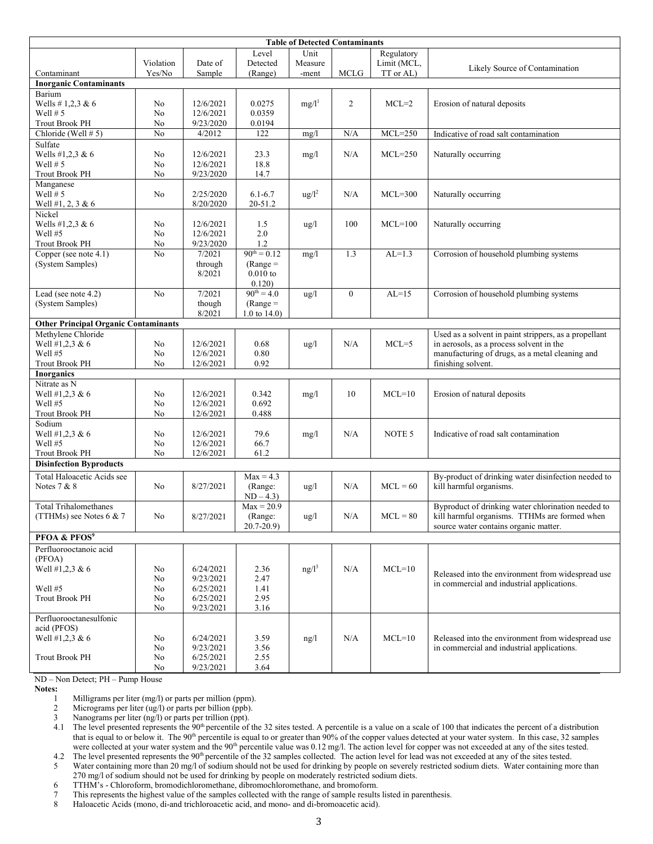| <b>Table of Detected Contaminants</b>                   |                |                        |                               |                   |                |             |                                                       |  |  |  |
|---------------------------------------------------------|----------------|------------------------|-------------------------------|-------------------|----------------|-------------|-------------------------------------------------------|--|--|--|
|                                                         |                |                        | Level                         | Unit              |                | Regulatory  |                                                       |  |  |  |
|                                                         | Violation      | Date of                | Detected                      | Measure           |                | Limit (MCL, | Likely Source of Contamination                        |  |  |  |
| Contaminant                                             | Yes/No         | Sample                 | (Range)                       | -ment             | <b>MCLG</b>    | TT or AL)   |                                                       |  |  |  |
| <b>Inorganic Contaminants</b>                           |                |                        |                               |                   |                |             |                                                       |  |  |  |
| Barium                                                  |                |                        |                               |                   |                |             |                                                       |  |  |  |
| Wells # 1,2,3 & 6                                       | No             | 12/6/2021              | 0.0275                        | $mg/l^1$          | $\overline{2}$ | $MCL=2$     | Erosion of natural deposits                           |  |  |  |
| Well $# 5$                                              | No             | 12/6/2021<br>9/23/2020 | 0.0359                        |                   |                |             |                                                       |  |  |  |
| <b>Trout Brook PH</b><br>Chloride (Well # 5)            | No<br>No       | 4/2012                 | 0.0194<br>122                 |                   | N/A            | $MCL = 250$ |                                                       |  |  |  |
| Sulfate                                                 |                |                        |                               | mg/1              |                |             | Indicative of road salt contamination                 |  |  |  |
| Wells #1,2,3 & 6                                        | No             | 12/6/2021              | 23.3                          |                   | N/A            | $MCL = 250$ |                                                       |  |  |  |
| Well $# 5$                                              | No             | 12/6/2021              | 18.8                          | mg/1              |                |             | Naturally occurring                                   |  |  |  |
| <b>Trout Brook PH</b>                                   | No             | 9/23/2020              | 14.7                          |                   |                |             |                                                       |  |  |  |
| Manganese                                               |                |                        |                               |                   |                |             |                                                       |  |  |  |
| Well $# 5$                                              | No             | 2/25/2020              | $6.1 - 6.7$                   | $\frac{u g}{l^2}$ | N/A            | $MCL=300$   | Naturally occurring                                   |  |  |  |
| Well #1, 2, 3 & 6                                       |                | 8/20/2020              | 20-51.2                       |                   |                |             |                                                       |  |  |  |
| Nickel                                                  |                |                        |                               |                   |                |             |                                                       |  |  |  |
| Wells #1,2,3 & 6                                        | No             | 12/6/2021              | 1.5                           | $\frac{u}{g}$     | 100            | $MCL=100$   | Naturally occurring                                   |  |  |  |
| Well #5                                                 | No             | 12/6/2021              | 2.0                           |                   |                |             |                                                       |  |  |  |
| <b>Trout Brook PH</b>                                   | No             | 9/23/2020              | 1.2                           |                   |                |             |                                                       |  |  |  |
| Copper (see note 4.1)                                   | No             | 7/2021                 | $90^{th} = 0.12$              | mg/1              | 1.3            | $AL=1.3$    | Corrosion of household plumbing systems               |  |  |  |
| (System Samples)                                        |                | through                | $(Range =$                    |                   |                |             |                                                       |  |  |  |
|                                                         |                | 8/2021                 | $0.010$ to                    |                   |                |             |                                                       |  |  |  |
|                                                         |                |                        | 0.120)                        |                   |                |             |                                                       |  |  |  |
| Lead (see note 4.2)                                     | N <sub>o</sub> | 7/2021                 | $90^{\text{th}} = 4.0$        | ug/l              | $\mathbf{0}$   | $AL=15$     | Corrosion of household plumbing systems               |  |  |  |
| (System Samples)                                        |                | though<br>8/2021       | $(Range =$<br>1.0 to $14.0$ ) |                   |                |             |                                                       |  |  |  |
| <b>Other Principal Organic Contaminants</b>             |                |                        |                               |                   |                |             |                                                       |  |  |  |
| Methylene Chloride                                      |                |                        |                               |                   |                |             | Used as a solvent in paint strippers, as a propellant |  |  |  |
| Well #1,2,3 & 6                                         | No             | 12/6/2021              | 0.68                          | $\frac{u g}{l}$   | N/A            | $MCL=5$     | in aerosols, as a process solvent in the              |  |  |  |
| Well #5                                                 | No             | 12/6/2021              | $0.80\,$                      |                   |                |             | manufacturing of drugs, as a metal cleaning and       |  |  |  |
| <b>Trout Brook PH</b>                                   | No             | 12/6/2021              | 0.92                          |                   |                |             | finishing solvent.                                    |  |  |  |
| <b>Inorganics</b>                                       |                |                        |                               |                   |                |             |                                                       |  |  |  |
| Nitrate as N                                            |                |                        |                               |                   |                |             |                                                       |  |  |  |
| Well #1,2,3 & 6                                         | No             | 12/6/2021              | 0.342                         | mg/1              | 10             | $MCL=10$    | Erosion of natural deposits                           |  |  |  |
| Well $#5$                                               | No             | 12/6/2021              | 0.692                         |                   |                |             |                                                       |  |  |  |
| <b>Trout Brook PH</b>                                   | No             | 12/6/2021              | 0.488                         |                   |                |             |                                                       |  |  |  |
| Sodium                                                  |                |                        |                               |                   |                |             |                                                       |  |  |  |
| Well #1,2,3 & 6                                         | No             | 12/6/2021              | 79.6                          | mg/1              | N/A            | NOTE 5      | Indicative of road salt contamination                 |  |  |  |
| Well #5                                                 | No             | 12/6/2021              | 66.7<br>61.2                  |                   |                |             |                                                       |  |  |  |
| <b>Trout Brook PH</b><br><b>Disinfection Byproducts</b> | No             | 12/6/2021              |                               |                   |                |             |                                                       |  |  |  |
|                                                         |                |                        |                               |                   |                |             |                                                       |  |  |  |
| Total Haloacetic Acids see                              |                |                        | $Max = 4.3$                   |                   |                |             | By-product of drinking water disinfection needed to   |  |  |  |
| Notes $7 & 8$                                           | No             | 8/27/2021              | (Range:                       | $\frac{u}{g}$     | N/A            | $MCL = 60$  | kill harmful organisms.                               |  |  |  |
| <b>Total Trihalomethanes</b>                            |                |                        | $ND - 4.3$<br>$Max = 20.9$    |                   |                |             | Byproduct of drinking water chlorination needed to    |  |  |  |
| (TTHMs) see Notes $6 & 7$                               | No             | 8/27/2021              | (Range:                       | ug/l              | N/A            | $MCL = 80$  | kill harmful organisms. TTHMs are formed when         |  |  |  |
|                                                         |                |                        | $20.7 - 20.9$                 |                   |                |             | source water contains organic matter.                 |  |  |  |
| PFOA & PFOS <sup>9</sup>                                |                |                        |                               |                   |                |             |                                                       |  |  |  |
| Perfluorooctanoic acid                                  |                |                        |                               |                   |                |             |                                                       |  |  |  |
| (PFOA)                                                  |                |                        |                               |                   |                |             |                                                       |  |  |  |
| Well #1,2,3 & 6                                         | No             | 6/24/2021              | 2.36                          | $ng/l^3$          | N/A            | $MCL=10$    |                                                       |  |  |  |
|                                                         | No             | 9/23/2021              | 2.47                          |                   |                |             | Released into the environment from widespread use     |  |  |  |
| Well #5                                                 | No             | 6/25/2021              | 1.41                          |                   |                |             | in commercial and industrial applications.            |  |  |  |
| <b>Trout Brook PH</b>                                   | No             | 6/25/2021              | 2.95                          |                   |                |             |                                                       |  |  |  |
|                                                         | No             | 9/23/2021              | 3.16                          |                   |                |             |                                                       |  |  |  |
| Perfluorooctanesulfonic                                 |                |                        |                               |                   |                |             |                                                       |  |  |  |
| acid (PFOS)                                             |                |                        |                               |                   |                |             |                                                       |  |  |  |
| Well #1,2,3 & 6                                         | No             | 6/24/2021              | 3.59                          | ng/l              | N/A            | $MCL=10$    | Released into the environment from widespread use     |  |  |  |
|                                                         | No             | 9/23/2021              | 3.56                          |                   |                |             | in commercial and industrial applications.            |  |  |  |
| <b>Trout Brook PH</b>                                   | No             | 6/25/2021              | 2.55                          |                   |                |             |                                                       |  |  |  |
|                                                         | No             | 9/23/2021              | 3.64                          |                   |                |             |                                                       |  |  |  |

ND – Non Detect; PH – Pump House

**Notes:** 

1 Milligrams per liter (mg/l) or parts per million (ppm).<br>2 Micrograms per liter (ug/l) or parts per billion (ppb).

Micrograms per liter (ug/l) or parts per billion (ppb).

3 Nanograms per liter (ng/l) or parts per trillion (ppt).

4.1 The level presented represents the 90<sup>th</sup> percentile of the 32 sites tested. A percentile is a value on a scale of 100 that indicates the percent of a distribution that is equal to or below it. The 90<sup>th</sup> percentile is equal to or greater than 90% of the copper values detected at your water system. In this case, 32 samples were collected at your water system and the 90<sup>th</sup> percentile value was 0.12 mg/l. The action level for copper was not exceeded at any of the sites tested.

4.2 The level presented represents the 90<sup>th</sup> percentile of the 32 samples collected. The action level for lead was not exceeded at any of the sites tested.<br>Water containing more than 20 mg/l of sodium should not be used f Water containing more than 20 mg/l of sodium should not be used for drinking by people on severely restricted sodium diets. Water containing more than 270 mg/l of sodium should not be used for drinking by people on moderately restricted sodium diets.

6 TTHM's - Chloroform, bromodichloromethane, dibromochloromethane, and bromoform.

7 This represents the highest value of the samples collected with the range of sample results listed in parenthesis.<br>8 Haloacetic Acids (mono, di-and trichloroacetic acid, and mono- and di-bromoacetic acid).

8 Haloacetic Acids (mono, di-and trichloroacetic acid, and mono- and di-bromoacetic acid).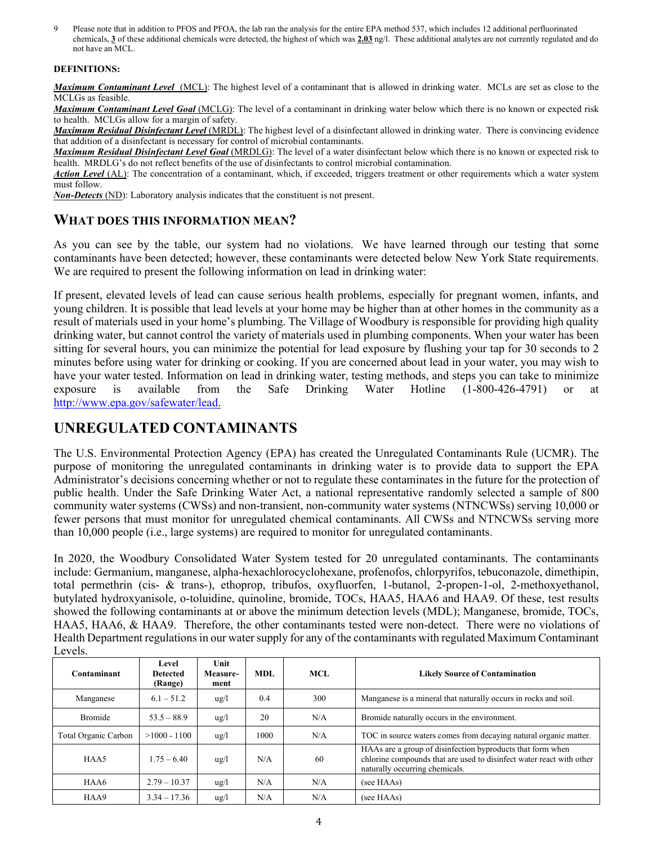9 Please note that in addition to PFOS and PFOA, the lab ran the analysis for the entire EPA method 537, which includes 12 additional perfluorinated chemicals, **3** of these additional chemicals were detected, the highest of which was **2.03** ng/l. These additional analytes are not currently regulated and do not have an MCL.

#### **DEFINITIONS:**

*Maximum Contaminant Level*(MCL): The highest level of a contaminant that is allowed in drinking water. MCLs are set as close to the MCLGs as feasible.

*Maximum Contaminant Level Goal* (MCLG): The level of a contaminant in drinking water below which there is no known or expected risk to health. MCLGs allow for a margin of safety.

*Maximum Residual Disinfectant Level* (MRDL): The highest level of a disinfectant allowed in drinking water. There is convincing evidence that addition of a disinfectant is necessary for control of microbial contaminants.

*Maximum Residual Disinfectant Level Goal* (MRDLG): The level of a water disinfectant below which there is no known or expected risk to health. MRDLG's do not reflect benefits of the use of disinfectants to control microbial contamination.

*Action Level* (AL): The concentration of a contaminant, which, if exceeded, triggers treatment or other requirements which a water system must follow.

*Non-Detects* (ND): Laboratory analysis indicates that the constituent is not present.

### **WHAT DOES THIS INFORMATION MEAN?**

As you can see by the table, our system had no violations. We have learned through our testing that some contaminants have been detected; however, these contaminants were detected below New York State requirements. We are required to present the following information on lead in drinking water:

If present, elevated levels of lead can cause serious health problems, especially for pregnant women, infants, and young children. It is possible that lead levels at your home may be higher than at other homes in the community as a result of materials used in your home's plumbing. The Village of Woodbury is responsible for providing high quality drinking water, but cannot control the variety of materials used in plumbing components. When your water has been sitting for several hours, you can minimize the potential for lead exposure by flushing your tap for 30 seconds to 2 minutes before using water for drinking or cooking. If you are concerned about lead in your water, you may wish to have your water tested. Information on lead in drinking water, testing methods, and steps you can take to minimize exposure is available from the Safe Drinking Water Hotline (1-800-426-4791) or at http://www.epa.gov/safewater/lead.

## **UNREGULATED CONTAMINANTS**

The U.S. Environmental Protection Agency (EPA) has created the Unregulated Contaminants Rule (UCMR). The purpose of monitoring the unregulated contaminants in drinking water is to provide data to support the EPA Administrator's decisions concerning whether or not to regulate these contaminates in the future for the protection of public health. Under the Safe Drinking Water Act, a national representative randomly selected a sample of 800 community water systems (CWSs) and non-transient, non-community water systems (NTNCWSs) serving 10,000 or fewer persons that must monitor for unregulated chemical contaminants. All CWSs and NTNCWSs serving more than 10,000 people (i.e., large systems) are required to monitor for unregulated contaminants.

In 2020, the Woodbury Consolidated Water System tested for 20 unregulated contaminants. The contaminants include: Germanium, manganese, alpha-hexachlorocyclohexane, profenofos, chlorpyrifos, tebuconazole, dimethipin, total permethrin (cis- & trans-), ethoprop, tribufos, oxyfluorfen, 1-butanol, 2-propen-1-ol, 2-methoxyethanol, butylated hydroxyanisole, o-toluidine, quinoline, bromide, TOCs, HAA5, HAA6 and HAA9. Of these, test results showed the following contaminants at or above the minimum detection levels (MDL); Manganese, bromide, TOCs, HAA5, HAA6, & HAA9. Therefore, the other contaminants tested were non-detect. There were no violations of Health Department regulations in our water supply for any of the contaminants with regulated Maximum Contaminant Levels.

| Contaminant          | Level<br><b>Detected</b><br>(Range) | Unit<br>Measure-<br>ment | MDL  | MCL | <b>Likely Source of Contamination</b>                                                                                                                                |
|----------------------|-------------------------------------|--------------------------|------|-----|----------------------------------------------------------------------------------------------------------------------------------------------------------------------|
| Manganese            | $6.1 - 51.2$                        | $\frac{u g}{l}$          | 0.4  | 300 | Manganese is a mineral that naturally occurs in rocks and soil.                                                                                                      |
| <b>Bromide</b>       | $53.5 - 88.9$                       | $\frac{u}{g}$            | 20   | N/A | Bromide naturally occurs in the environment.                                                                                                                         |
| Total Organic Carbon | $>1000 - 1100$                      | $\frac{u}{g}$            | 1000 | N/A | TOC in source waters comes from decaying natural organic matter.                                                                                                     |
| HAA5                 | $1.75 - 6.40$                       | $\frac{u g}{l}$          | N/A  | 60  | HAAs are a group of disinfection byproducts that form when<br>chlorine compounds that are used to disinfect water react with other<br>naturally occurring chemicals. |
| HAA6                 | $2.79 - 10.37$                      | $\frac{u g}{l}$          | N/A  | N/A | (see HAAs)                                                                                                                                                           |
| HAA9                 | $3.34 - 17.36$                      | $\frac{u}{g}$            | N/A  | N/A | (see HAAs)                                                                                                                                                           |